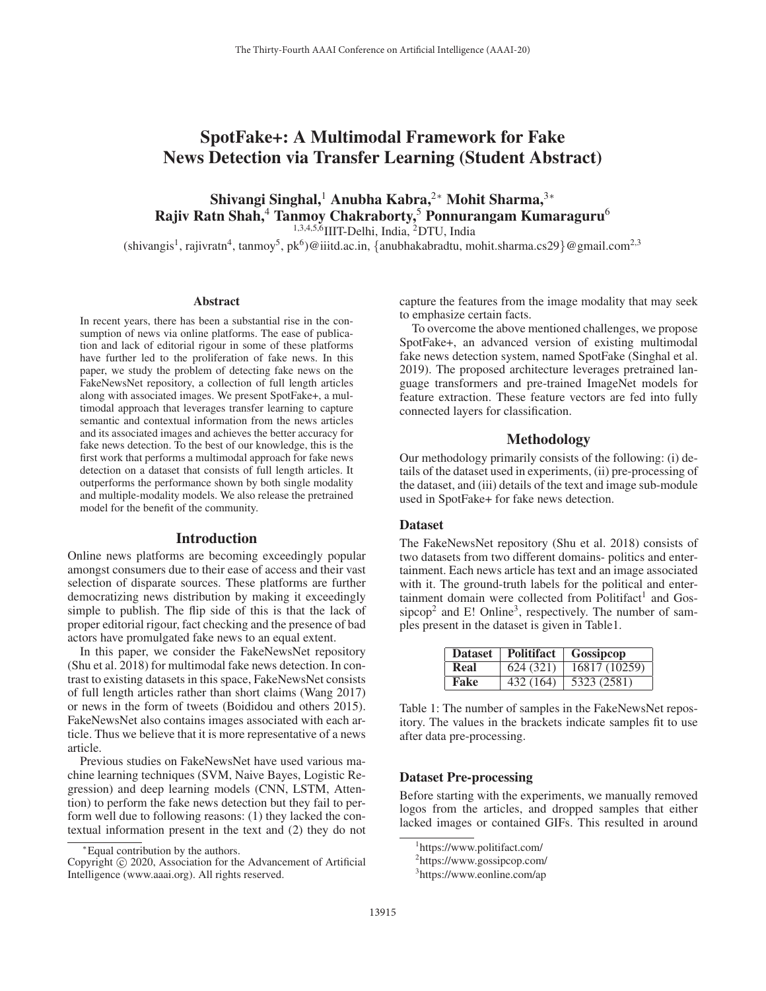# SpotFake+: A Multimodal Framework for Fake News Detection via Transfer Learning (Student Abstract)

Shivangi Singhal,<sup>1</sup> Anubha Kabra,<sup>2</sup>\* Mohit Sharma,<sup>3</sup>\* Rajiv Ratn Shah, $4$  Tanmoy Chakraborty, $5$  Ponnurangam Kumaraguru<sup>6</sup>

1,3,4,5,6IIIT-Delhi, India, 2DTU, India

 $(\text{shivangis}^1, \text{rajivratn}^4, \text{tannoy}^5, \text{pk}^6)$ @iiitd.ac.in, {anubhakabradtu, mohit.sharma.cs29}@gmail.com<sup>2,3</sup>

#### Abstract

In recent years, there has been a substantial rise in the consumption of news via online platforms. The ease of publication and lack of editorial rigour in some of these platforms have further led to the proliferation of fake news. In this paper, we study the problem of detecting fake news on the FakeNewsNet repository, a collection of full length articles along with associated images. We present SpotFake+, a multimodal approach that leverages transfer learning to capture semantic and contextual information from the news articles and its associated images and achieves the better accuracy for fake news detection. To the best of our knowledge, this is the first work that performs a multimodal approach for fake news detection on a dataset that consists of full length articles. It outperforms the performance shown by both single modality and multiple-modality models. We also release the pretrained model for the benefit of the community.

### Introduction

Online news platforms are becoming exceedingly popular amongst consumers due to their ease of access and their vast selection of disparate sources. These platforms are further democratizing news distribution by making it exceedingly simple to publish. The flip side of this is that the lack of proper editorial rigour, fact checking and the presence of bad actors have promulgated fake news to an equal extent.

In this paper, we consider the FakeNewsNet repository (Shu et al. 2018) for multimodal fake news detection. In contrast to existing datasets in this space, FakeNewsNet consists of full length articles rather than short claims (Wang 2017) or news in the form of tweets (Boididou and others 2015). FakeNewsNet also contains images associated with each article. Thus we believe that it is more representative of a news article.

Previous studies on FakeNewsNet have used various machine learning techniques (SVM, Naive Bayes, Logistic Regression) and deep learning models (CNN, LSTM, Attention) to perform the fake news detection but they fail to perform well due to following reasons: (1) they lacked the contextual information present in the text and (2) they do not capture the features from the image modality that may seek to emphasize certain facts.

To overcome the above mentioned challenges, we propose SpotFake+, an advanced version of existing multimodal fake news detection system, named SpotFake (Singhal et al. 2019). The proposed architecture leverages pretrained language transformers and pre-trained ImageNet models for feature extraction. These feature vectors are fed into fully connected layers for classification.

## Methodology

Our methodology primarily consists of the following: (i) details of the dataset used in experiments, (ii) pre-processing of the dataset, and (iii) details of the text and image sub-module used in SpotFake+ for fake news detection.

### Dataset

The FakeNewsNet repository (Shu et al. 2018) consists of two datasets from two different domains- politics and entertainment. Each news article has text and an image associated with it. The ground-truth labels for the political and entertainment domain were collected from Politifact<sup>1</sup> and Gossipcop<sup>2</sup> and E! Online<sup>3</sup>, respectively. The number of samples present in the dataset is given in Table1.

| <b>Dataset</b> |           | Politifact   Gossipcop |
|----------------|-----------|------------------------|
| Real           | 624 (321) | 16817 (10259)          |
| Fake           | 432 (164) | 5323 (2581)            |

Table 1: The number of samples in the FakeNewsNet repository. The values in the brackets indicate samples fit to use after data pre-processing.

## Dataset Pre-processing

Before starting with the experiments, we manually removed logos from the articles, and dropped samples that either lacked images or contained GIFs. This resulted in around

<sup>∗</sup>Equal contribution by the authors.

Copyright  $\odot$  2020, Association for the Advancement of Artificial Intelligence (www.aaai.org). All rights reserved.

<sup>1</sup> https://www.politifact.com/

<sup>2</sup> https://www.gossipcop.com/

<sup>3</sup> https://www.eonline.com/ap